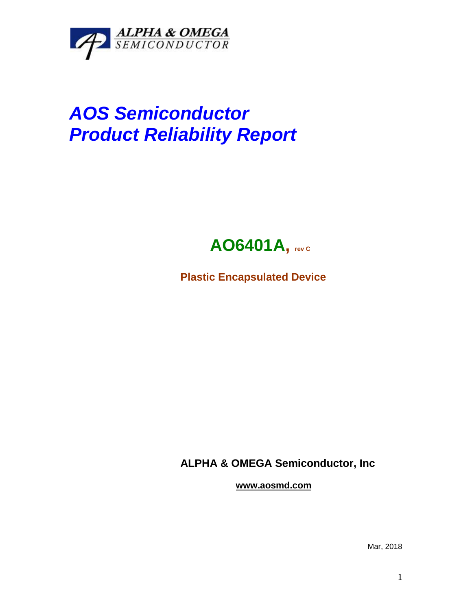

## *AOS Semiconductor Product Reliability Report*



**Plastic Encapsulated Device**

**ALPHA & OMEGA Semiconductor, Inc**

**www.aosmd.com**

Mar, 2018